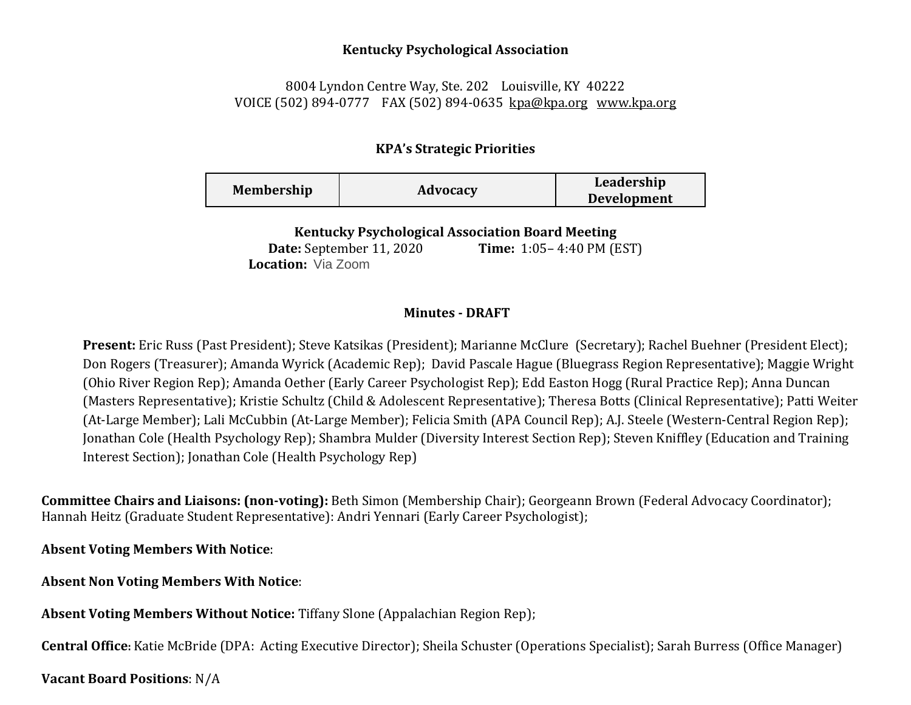## **Kentucky Psychological Association**

## 8004 Lyndon Centre Way, Ste. 202 Louisville, KY 40222 VOICE (502) 894-0777 FAX (502) 894-0635 [kpa@kpa.org](mailto:kpa@kih.net) [www.kpa.org](http://www.kpa.org/)

## **KPA's Strategic Priorities**

| <b>Membership</b> | Advocacy | Leadership         |
|-------------------|----------|--------------------|
|                   |          | <b>Development</b> |

**Kentucky Psychological Association Board Meeting** 

**Date:** September 11, 2020 **Time:** 1:05– 4:40 PM (EST) **Location:** Via Zoom

## **Minutes - DRAFT**

**Present:** Eric Russ (Past President); Steve Katsikas (President); Marianne McClure (Secretary); Rachel Buehner (President Elect); Don Rogers (Treasurer); Amanda Wyrick (Academic Rep); David Pascale Hague (Bluegrass Region Representative); Maggie Wright (Ohio River Region Rep); Amanda Oether (Early Career Psychologist Rep); Edd Easton Hogg (Rural Practice Rep); Anna Duncan (Masters Representative); Kristie Schultz (Child & Adolescent Representative); Theresa Botts (Clinical Representative); Patti Weiter (At-Large Member); Lali McCubbin (At-Large Member); Felicia Smith (APA Council Rep); A.J. Steele (Western-Central Region Rep); Jonathan Cole (Health Psychology Rep); Shambra Mulder (Diversity Interest Section Rep); Steven Kniffley (Education and Training Interest Section); Jonathan Cole (Health Psychology Rep)

**Committee Chairs and Liaisons: (non-voting):** Beth Simon (Membership Chair); Georgeann Brown (Federal Advocacy Coordinator); Hannah Heitz (Graduate Student Representative): Andri Yennari (Early Career Psychologist);

**Absent Voting Members With Notice**:

**Absent Non Voting Members With Notice**:

**Absent Voting Members Without Notice:** Tiffany Slone (Appalachian Region Rep);

**Central Office:** Katie McBride (DPA: Acting Executive Director); Sheila Schuster (Operations Specialist); Sarah Burress (Office Manager)

**Vacant Board Positions**: N/A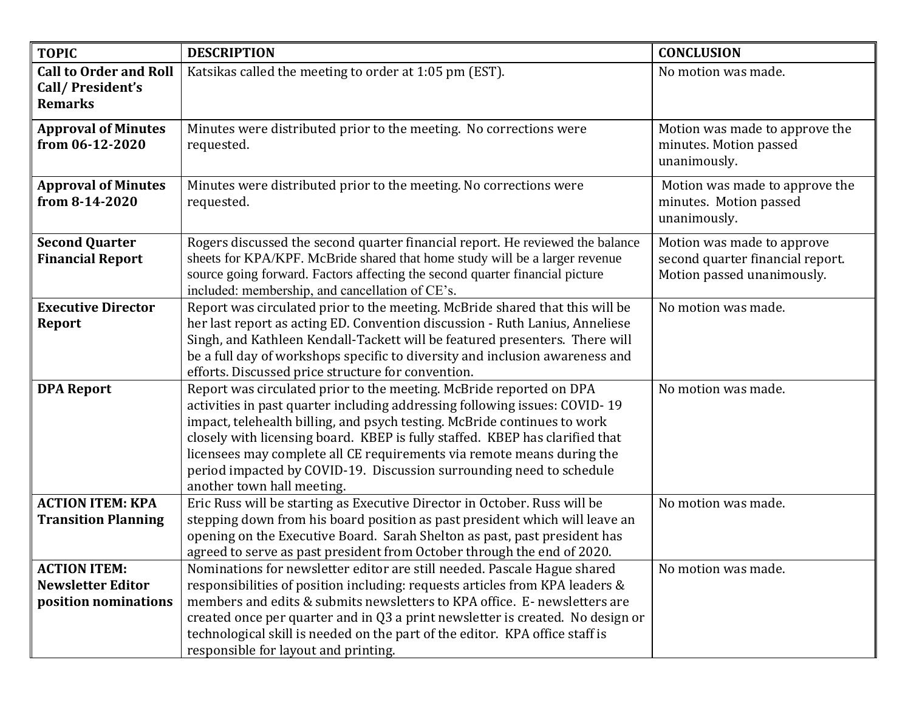| <b>TOPIC</b>                                                            | <b>DESCRIPTION</b>                                                                                                                                                                                                                                                                                                                                                                                                                                                                            | <b>CONCLUSION</b>                                                                            |
|-------------------------------------------------------------------------|-----------------------------------------------------------------------------------------------------------------------------------------------------------------------------------------------------------------------------------------------------------------------------------------------------------------------------------------------------------------------------------------------------------------------------------------------------------------------------------------------|----------------------------------------------------------------------------------------------|
| <b>Call to Order and Roll</b><br>Call/President's<br><b>Remarks</b>     | Katsikas called the meeting to order at 1:05 pm (EST).                                                                                                                                                                                                                                                                                                                                                                                                                                        | No motion was made.                                                                          |
| <b>Approval of Minutes</b><br>from 06-12-2020                           | Minutes were distributed prior to the meeting. No corrections were<br>requested.                                                                                                                                                                                                                                                                                                                                                                                                              | Motion was made to approve the<br>minutes. Motion passed<br>unanimously.                     |
| <b>Approval of Minutes</b><br>from 8-14-2020                            | Minutes were distributed prior to the meeting. No corrections were<br>requested.                                                                                                                                                                                                                                                                                                                                                                                                              | Motion was made to approve the<br>minutes. Motion passed<br>unanimously.                     |
| <b>Second Quarter</b><br><b>Financial Report</b>                        | Rogers discussed the second quarter financial report. He reviewed the balance<br>sheets for KPA/KPF. McBride shared that home study will be a larger revenue<br>source going forward. Factors affecting the second quarter financial picture<br>included: membership, and cancellation of CE's.                                                                                                                                                                                               | Motion was made to approve<br>second quarter financial report.<br>Motion passed unanimously. |
| <b>Executive Director</b><br><b>Report</b>                              | Report was circulated prior to the meeting. McBride shared that this will be<br>her last report as acting ED. Convention discussion - Ruth Lanius, Anneliese<br>Singh, and Kathleen Kendall-Tackett will be featured presenters. There will<br>be a full day of workshops specific to diversity and inclusion awareness and<br>efforts. Discussed price structure for convention.                                                                                                             | No motion was made.                                                                          |
| <b>DPA Report</b>                                                       | Report was circulated prior to the meeting. McBride reported on DPA<br>activities in past quarter including addressing following issues: COVID-19<br>impact, telehealth billing, and psych testing. McBride continues to work<br>closely with licensing board. KBEP is fully staffed. KBEP has clarified that<br>licensees may complete all CE requirements via remote means during the<br>period impacted by COVID-19. Discussion surrounding need to schedule<br>another town hall meeting. | No motion was made.                                                                          |
| <b>ACTION ITEM: KPA</b><br><b>Transition Planning</b>                   | Eric Russ will be starting as Executive Director in October. Russ will be<br>stepping down from his board position as past president which will leave an<br>opening on the Executive Board. Sarah Shelton as past, past president has<br>agreed to serve as past president from October through the end of 2020.                                                                                                                                                                              | No motion was made.                                                                          |
| <b>ACTION ITEM:</b><br><b>Newsletter Editor</b><br>position nominations | Nominations for newsletter editor are still needed. Pascale Hague shared<br>responsibilities of position including: requests articles from KPA leaders &<br>members and edits & submits newsletters to KPA office. E- newsletters are<br>created once per quarter and in Q3 a print newsletter is created. No design or<br>technological skill is needed on the part of the editor. KPA office staff is<br>responsible for layout and printing.                                               | No motion was made.                                                                          |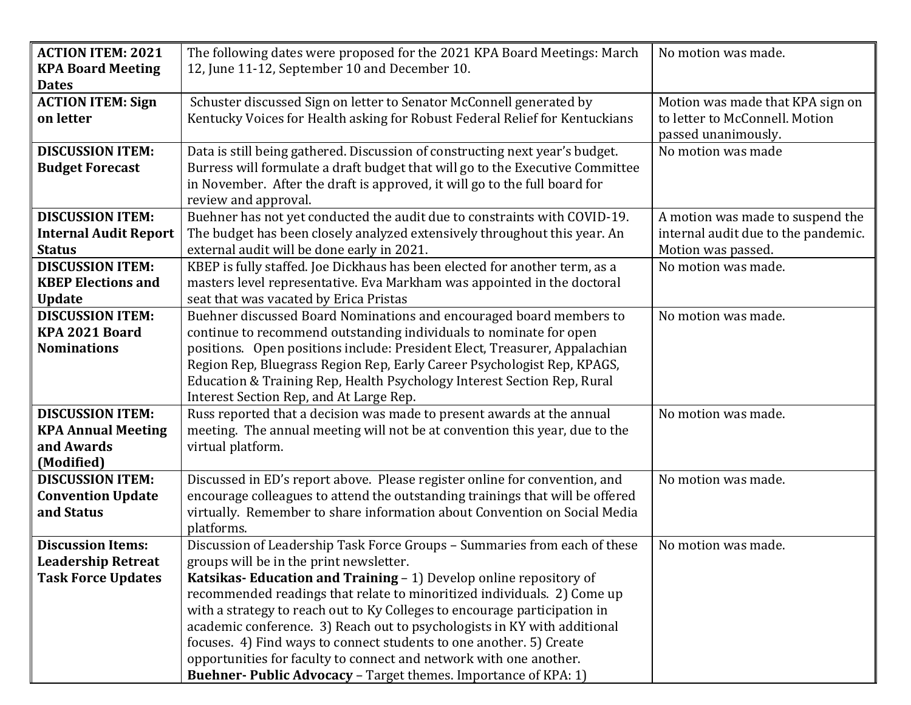| <b>ACTION ITEM: 2021</b>     | The following dates were proposed for the 2021 KPA Board Meetings: March      | No motion was made.                 |
|------------------------------|-------------------------------------------------------------------------------|-------------------------------------|
| <b>KPA Board Meeting</b>     | 12, June 11-12, September 10 and December 10.                                 |                                     |
| <b>Dates</b>                 |                                                                               |                                     |
| <b>ACTION ITEM: Sign</b>     | Schuster discussed Sign on letter to Senator McConnell generated by           | Motion was made that KPA sign on    |
| on letter                    | Kentucky Voices for Health asking for Robust Federal Relief for Kentuckians   | to letter to McConnell. Motion      |
|                              |                                                                               | passed unanimously.                 |
| <b>DISCUSSION ITEM:</b>      | Data is still being gathered. Discussion of constructing next year's budget.  | No motion was made                  |
| <b>Budget Forecast</b>       | Burress will formulate a draft budget that will go to the Executive Committee |                                     |
|                              | in November. After the draft is approved, it will go to the full board for    |                                     |
|                              | review and approval.                                                          |                                     |
| <b>DISCUSSION ITEM:</b>      | Buehner has not yet conducted the audit due to constraints with COVID-19.     | A motion was made to suspend the    |
| <b>Internal Audit Report</b> | The budget has been closely analyzed extensively throughout this year. An     | internal audit due to the pandemic. |
| <b>Status</b>                | external audit will be done early in 2021.                                    | Motion was passed.                  |
| <b>DISCUSSION ITEM:</b>      | KBEP is fully staffed. Joe Dickhaus has been elected for another term, as a   | No motion was made.                 |
| <b>KBEP Elections and</b>    | masters level representative. Eva Markham was appointed in the doctoral       |                                     |
| <b>Update</b>                | seat that was vacated by Erica Pristas                                        |                                     |
| <b>DISCUSSION ITEM:</b>      | Buehner discussed Board Nominations and encouraged board members to           | No motion was made.                 |
| KPA 2021 Board               | continue to recommend outstanding individuals to nominate for open            |                                     |
| <b>Nominations</b>           | positions. Open positions include: President Elect, Treasurer, Appalachian    |                                     |
|                              | Region Rep, Bluegrass Region Rep, Early Career Psychologist Rep, KPAGS,       |                                     |
|                              | Education & Training Rep, Health Psychology Interest Section Rep, Rural       |                                     |
|                              | Interest Section Rep, and At Large Rep.                                       |                                     |
| <b>DISCUSSION ITEM:</b>      | Russ reported that a decision was made to present awards at the annual        | No motion was made.                 |
| <b>KPA Annual Meeting</b>    | meeting. The annual meeting will not be at convention this year, due to the   |                                     |
| and Awards                   | virtual platform.                                                             |                                     |
| (Modified)                   |                                                                               |                                     |
| <b>DISCUSSION ITEM:</b>      | Discussed in ED's report above. Please register online for convention, and    | No motion was made.                 |
| <b>Convention Update</b>     | encourage colleagues to attend the outstanding trainings that will be offered |                                     |
| and Status                   | virtually. Remember to share information about Convention on Social Media     |                                     |
|                              | platforms.                                                                    |                                     |
| <b>Discussion Items:</b>     | Discussion of Leadership Task Force Groups - Summaries from each of these     | No motion was made.                 |
| <b>Leadership Retreat</b>    | groups will be in the print newsletter.                                       |                                     |
| <b>Task Force Updates</b>    | Katsikas- Education and Training - 1) Develop online repository of            |                                     |
|                              | recommended readings that relate to minoritized individuals. 2) Come up       |                                     |
|                              | with a strategy to reach out to Ky Colleges to encourage participation in     |                                     |
|                              | academic conference. 3) Reach out to psychologists in KY with additional      |                                     |
|                              | focuses. 4) Find ways to connect students to one another. 5) Create           |                                     |
|                              | opportunities for faculty to connect and network with one another.            |                                     |
|                              | <b>Buehner-Public Advocacy - Target themes. Importance of KPA: 1)</b>         |                                     |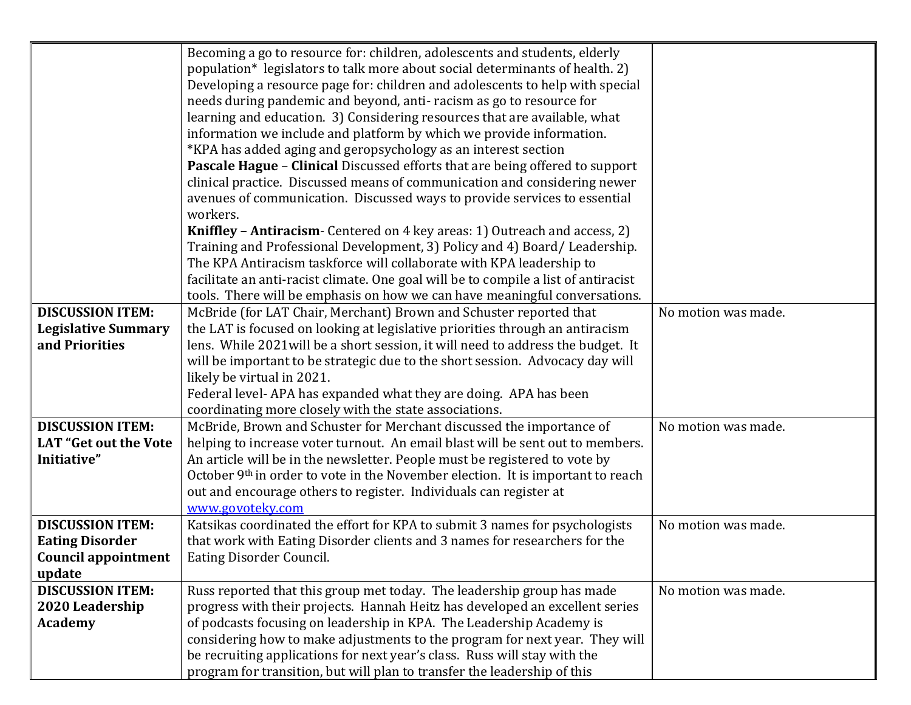|                              | Becoming a go to resource for: children, adolescents and students, elderly          |                     |
|------------------------------|-------------------------------------------------------------------------------------|---------------------|
|                              | population* legislators to talk more about social determinants of health. 2)        |                     |
|                              | Developing a resource page for: children and adolescents to help with special       |                     |
|                              | needs during pandemic and beyond, anti-racism as go to resource for                 |                     |
|                              | learning and education. 3) Considering resources that are available, what           |                     |
|                              | information we include and platform by which we provide information.                |                     |
|                              | *KPA has added aging and geropsychology as an interest section                      |                     |
|                              | Pascale Hague - Clinical Discussed efforts that are being offered to support        |                     |
|                              | clinical practice. Discussed means of communication and considering newer           |                     |
|                              | avenues of communication. Discussed ways to provide services to essential           |                     |
|                              | workers.                                                                            |                     |
|                              | Kniffley - Antiracism- Centered on 4 key areas: 1) Outreach and access, 2)          |                     |
|                              | Training and Professional Development, 3) Policy and 4) Board/Leadership.           |                     |
|                              | The KPA Antiracism taskforce will collaborate with KPA leadership to                |                     |
|                              | facilitate an anti-racist climate. One goal will be to compile a list of antiracist |                     |
|                              | tools. There will be emphasis on how we can have meaningful conversations.          |                     |
| <b>DISCUSSION ITEM:</b>      | McBride (for LAT Chair, Merchant) Brown and Schuster reported that                  | No motion was made. |
| <b>Legislative Summary</b>   | the LAT is focused on looking at legislative priorities through an antiracism       |                     |
| and Priorities               | lens. While 2021 will be a short session, it will need to address the budget. It    |                     |
|                              | will be important to be strategic due to the short session. Advocacy day will       |                     |
|                              | likely be virtual in 2021.                                                          |                     |
|                              | Federal level-APA has expanded what they are doing. APA has been                    |                     |
|                              | coordinating more closely with the state associations.                              |                     |
| <b>DISCUSSION ITEM:</b>      | McBride, Brown and Schuster for Merchant discussed the importance of                | No motion was made. |
| <b>LAT</b> "Get out the Vote | helping to increase voter turnout. An email blast will be sent out to members.      |                     |
| Initiative"                  | An article will be in the newsletter. People must be registered to vote by          |                     |
|                              | October 9th in order to vote in the November election. It is important to reach     |                     |
|                              | out and encourage others to register. Individuals can register at                   |                     |
|                              | www.govoteky.com                                                                    |                     |
| <b>DISCUSSION ITEM:</b>      | Katsikas coordinated the effort for KPA to submit 3 names for psychologists         | No motion was made. |
| <b>Eating Disorder</b>       | that work with Eating Disorder clients and 3 names for researchers for the          |                     |
| <b>Council appointment</b>   | Eating Disorder Council.                                                            |                     |
| update                       |                                                                                     |                     |
| <b>DISCUSSION ITEM:</b>      | Russ reported that this group met today. The leadership group has made              | No motion was made. |
| 2020 Leadership              | progress with their projects. Hannah Heitz has developed an excellent series        |                     |
| <b>Academy</b>               | of podcasts focusing on leadership in KPA. The Leadership Academy is                |                     |
|                              | considering how to make adjustments to the program for next year. They will         |                     |
|                              | be recruiting applications for next year's class. Russ will stay with the           |                     |
|                              | program for transition, but will plan to transfer the leadership of this            |                     |